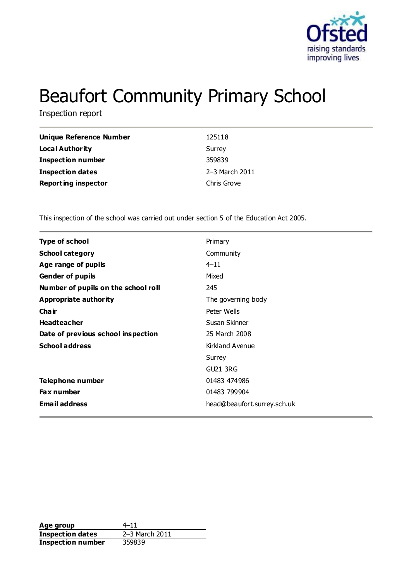

# Beaufort Community Primary School

Inspection report

| <b>Unique Reference Number</b> | 125118         |
|--------------------------------|----------------|
| Local Authority                | Surrey         |
| <b>Inspection number</b>       | 359839         |
| <b>Inspection dates</b>        | 2-3 March 2011 |
| <b>Reporting inspector</b>     | Chris Grove    |

This inspection of the school was carried out under section 5 of the Education Act 2005.

| <b>Type of school</b>               | Primary                     |
|-------------------------------------|-----------------------------|
| <b>School category</b>              | Community                   |
| Age range of pupils                 | $4 - 11$                    |
| <b>Gender of pupils</b>             | Mixed                       |
| Number of pupils on the school roll | 245                         |
| Appropriate authority               | The governing body          |
| Cha ir                              | Peter Wells                 |
| <b>Headteacher</b>                  | Susan Skinner               |
| Date of previous school inspection  | 25 March 2008               |
| <b>School address</b>               | Kirkland Avenue             |
|                                     | Surrey                      |
|                                     | GU21 3RG                    |
| Telephone number                    | 01483 474986                |
| <b>Fax number</b>                   | 01483 799904                |
| <b>Email address</b>                | head@beaufort.surrey.sch.uk |
|                                     |                             |

**Age group** 4–11<br> **Inspection dates** 2–3 March 2011 **Inspection dates Inspection number** 359839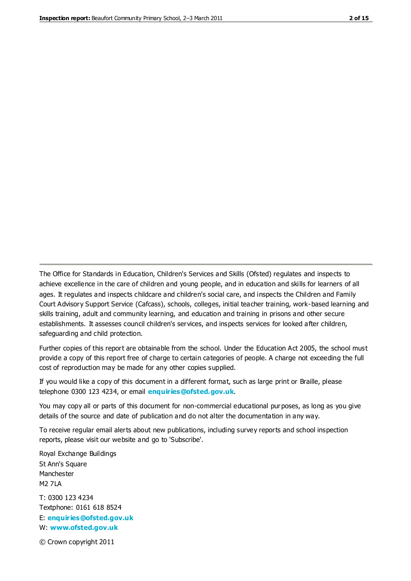The Office for Standards in Education, Children's Services and Skills (Ofsted) regulates and inspects to achieve excellence in the care of children and young people, and in education and skills for learners of all ages. It regulates and inspects childcare and children's social care, and inspects the Children and Family Court Advisory Support Service (Cafcass), schools, colleges, initial teacher training, work-based learning and skills training, adult and community learning, and education and training in prisons and other secure establishments. It assesses council children's services, and inspects services for looked after children, safeguarding and child protection.

Further copies of this report are obtainable from the school. Under the Education Act 2005, the school must provide a copy of this report free of charge to certain categories of people. A charge not exceeding the full cost of reproduction may be made for any other copies supplied.

If you would like a copy of this document in a different format, such as large print or Braille, please telephone 0300 123 4234, or email **[enquiries@ofsted.gov.uk](mailto:enquiries@ofsted.gov.uk)**.

You may copy all or parts of this document for non-commercial educational purposes, as long as you give details of the source and date of publication and do not alter the documentation in any way.

To receive regular email alerts about new publications, including survey reports and school inspection reports, please visit our website and go to 'Subscribe'.

Royal Exchange Buildings St Ann's Square Manchester M2 7LA T: 0300 123 4234 Textphone: 0161 618 8524 E: **[enquiries@ofsted.gov.uk](mailto:enquiries@ofsted.gov.uk)**

W: **[www.ofsted.gov.uk](http://www.ofsted.gov.uk/)**

© Crown copyright 2011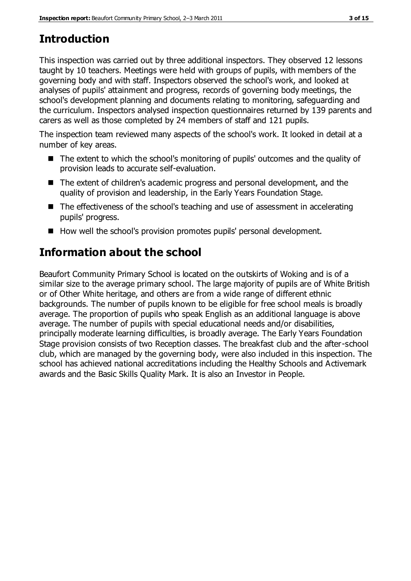## **Introduction**

This inspection was carried out by three additional inspectors. They observed 12 lessons taught by 10 teachers. Meetings were held with groups of pupils, with members of the governing body and with staff. Inspectors observed the school's work, and looked at analyses of pupils' attainment and progress, records of governing body meetings, the school's development planning and documents relating to monitoring, safeguarding and the curriculum. Inspectors analysed inspection questionnaires returned by 139 parents and carers as well as those completed by 24 members of staff and 121 pupils.

The inspection team reviewed many aspects of the school's work. It looked in detail at a number of key areas.

- The extent to which the school's monitoring of pupils' outcomes and the quality of provision leads to accurate self-evaluation.
- The extent of children's academic progress and personal development, and the quality of provision and leadership, in the Early Years Foundation Stage.
- The effectiveness of the school's teaching and use of assessment in accelerating pupils' progress.
- How well the school's provision promotes pupils' personal development.

# **Information about the school**

Beaufort Community Primary School is located on the outskirts of Woking and is of a similar size to the average primary school. The large majority of pupils are of White British or of Other White heritage, and others are from a wide range of different ethnic backgrounds. The number of pupils known to be eligible for free school meals is broadly average. The proportion of pupils who speak English as an additional language is above average. The number of pupils with special educational needs and/or disabilities, principally moderate learning difficulties, is broadly average. The Early Years Foundation Stage provision consists of two Reception classes. The breakfast club and the after-school club, which are managed by the governing body, were also included in this inspection. The school has achieved national accreditations including the Healthy Schools and Activemark awards and the Basic Skills Quality Mark. It is also an Investor in People.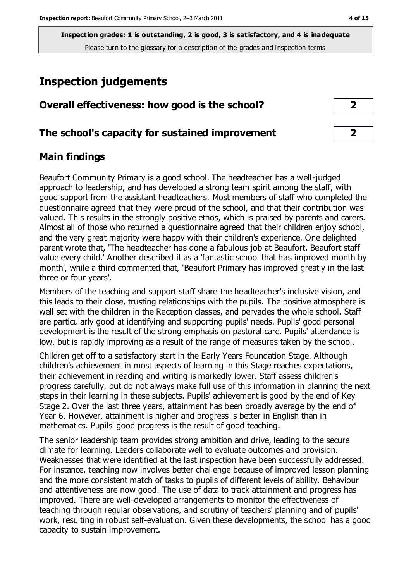### **Inspection judgements**

| Overall effectiveness: how good is the school? |  |
|------------------------------------------------|--|
|------------------------------------------------|--|

### **The school's capacity for sustained improvement 2**

### **Main findings**

Beaufort Community Primary is a good school. The headteacher has a well-judged approach to leadership, and has developed a strong team spirit among the staff, with good support from the assistant headteachers. Most members of staff who completed the questionnaire agreed that they were proud of the school, and that their contribution was valued. This results in the strongly positive ethos, which is praised by parents and carers. Almost all of those who returned a questionnaire agreed that their children enjoy school, and the very great majority were happy with their children's experience. One delighted parent wrote that, 'The headteacher has done a fabulous job at Beaufort. Beaufort staff value every child.' Another described it as a 'fantastic school that has improved month by month', while a third commented that, 'Beaufort Primary has improved greatly in the last three or four years'.

Members of the teaching and support staff share the headteacher's inclusive vision, and this leads to their close, trusting relationships with the pupils. The positive atmosphere is well set with the children in the Reception classes, and pervades the whole school. Staff are particularly good at identifying and supporting pupils' needs. Pupils' good personal development is the result of the strong emphasis on pastoral care. Pupils' attendance is low, but is rapidly improving as a result of the range of measures taken by the school.

Children get off to a satisfactory start in the Early Years Foundation Stage. Although children's achievement in most aspects of learning in this Stage reaches expectations, their achievement in reading and writing is markedly lower. Staff assess children's progress carefully, but do not always make full use of this information in planning the next steps in their learning in these subjects. Pupils' achievement is good by the end of Key Stage 2. Over the last three years, attainment has been broadly average by the end of Year 6. However, attainment is higher and progress is better in English than in mathematics. Pupils' good progress is the result of good teaching.

The senior leadership team provides strong ambition and drive, leading to the secure climate for learning. Leaders collaborate well to evaluate outcomes and provision. Weaknesses that were identified at the last inspection have been successfully addressed. For instance, teaching now involves better challenge because of improved lesson planning and the more consistent match of tasks to pupils of different levels of ability. Behaviour and attentiveness are now good. The use of data to track attainment and progress has improved. There are well-developed arrangements to monitor the effectiveness of teaching through regular observations, and scrutiny of teachers' planning and of pupils' work, resulting in robust self-evaluation. Given these developments, the school has a good capacity to sustain improvement.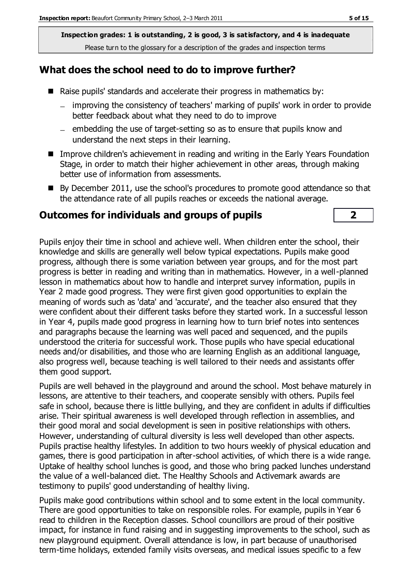### **What does the school need to do to improve further?**

- Raise pupils' standards and accelerate their progress in mathematics by:
	- improving the consistency of teachers' marking of pupils' work in order to provide  $$ better feedback about what they need to do to improve
	- $=$  embedding the use of target-setting so as to ensure that pupils know and understand the next steps in their learning.
- **IMPROVE CHILD THEORY EXAM** In reading and writing in the Early Years Foundation Stage, in order to match their higher achievement in other areas, through making better use of information from assessments.
- By December 2011, use the school's procedures to promote good attendance so that the attendance rate of all pupils reaches or exceeds the national average.

### **Outcomes for individuals and groups of pupils 2**

Pupils enjoy their time in school and achieve well. When children enter the school, their knowledge and skills are generally well below typical expectations. Pupils make good progress, although there is some variation between year groups, and for the most part progress is better in reading and writing than in mathematics. However, in a well-planned lesson in mathematics about how to handle and interpret survey information, pupils in Year 2 made good progress. They were first given good opportunities to explain the meaning of words such as 'data' and 'accurate', and the teacher also ensured that they were confident about their different tasks before they started work. In a successful lesson in Year 4, pupils made good progress in learning how to turn brief notes into sentences and paragraphs because the learning was well paced and sequenced, and the pupils understood the criteria for successful work. Those pupils who have special educational needs and/or disabilities, and those who are learning English as an additional language, also progress well, because teaching is well tailored to their needs and assistants offer them good support.

Pupils are well behaved in the playground and around the school. Most behave maturely in lessons, are attentive to their teachers, and cooperate sensibly with others. Pupils feel safe in school, because there is little bullying, and they are confident in adults if difficulties arise. Their spiritual awareness is well developed through reflection in assemblies, and their good moral and social development is seen in positive relationships with others. However, understanding of cultural diversity is less well developed than other aspects. Pupils practise healthy lifestyles. In addition to two hours weekly of physical education and games, there is good participation in after-school activities, of which there is a wide range. Uptake of healthy school lunches is good, and those who bring packed lunches understand the value of a well-balanced diet. The Healthy Schools and Activemark awards are testimony to pupils' good understanding of healthy living.

Pupils make good contributions within school and to some extent in the local community. There are good opportunities to take on responsible roles. For example, pupils in Year 6 read to children in the Reception classes. School councillors are proud of their positive impact, for instance in fund raising and in suggesting improvements to the school, such as new playground equipment. Overall attendance is low, in part because of unauthorised term-time holidays, extended family visits overseas, and medical issues specific to a few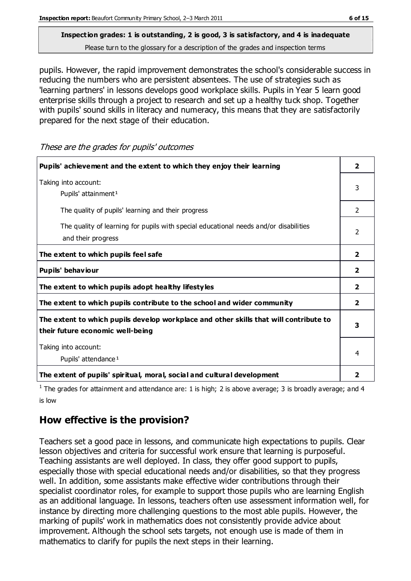# **Inspection grades: 1 is outstanding, 2 is good, 3 is satisfactory, and 4 is inadequate**

Please turn to the glossary for a description of the grades and inspection terms

pupils. However, the rapid improvement demonstrates the school's considerable success in reducing the numbers who are persistent absentees. The use of strategies such as 'learning partners' in lessons develops good workplace skills. Pupils in Year 5 learn good enterprise skills through a project to research and set up a healthy tuck shop. Together with pupils' sound skills in literacy and numeracy, this means that they are satisfactorily prepared for the next stage of their education.

**Pupils' achievement and the extent to which they enjoy their learning 2** Taking into account: Pupils' attainment<sup>1</sup> 3 The quality of pupils' learning and their progress  $\vert$  2 The quality of learning for pupils with special educational needs and/or disabilities and their progress 2 **The extent to which pupils feel safe 2 Pupils' behaviour 2 The extent to which pupils adopt healthy lifestyles 2 The extent to which pupils contribute to the school and wider community 2 The extent to which pupils develop workplace and other skills that will contribute to their future economic well-being 3** Taking into account: Pupils' attendance<sup>1</sup> 4 **The extent of pupils' spiritual, moral, social and cultural development 2**

These are the grades for pupils' outcomes

<sup>1</sup> The grades for attainment and attendance are: 1 is high; 2 is above average; 3 is broadly average; and 4 is low

### **How effective is the provision?**

Teachers set a good pace in lessons, and communicate high expectations to pupils. Clear lesson objectives and criteria for successful work ensure that learning is purposeful. Teaching assistants are well deployed. In class, they offer good support to pupils, especially those with special educational needs and/or disabilities, so that they progress well. In addition, some assistants make effective wider contributions through their specialist coordinator roles, for example to support those pupils who are learning English as an additional language. In lessons, teachers often use assessment information well, for instance by directing more challenging questions to the most able pupils. However, the marking of pupils' work in mathematics does not consistently provide advice about improvement. Although the school sets targets, not enough use is made of them in mathematics to clarify for pupils the next steps in their learning.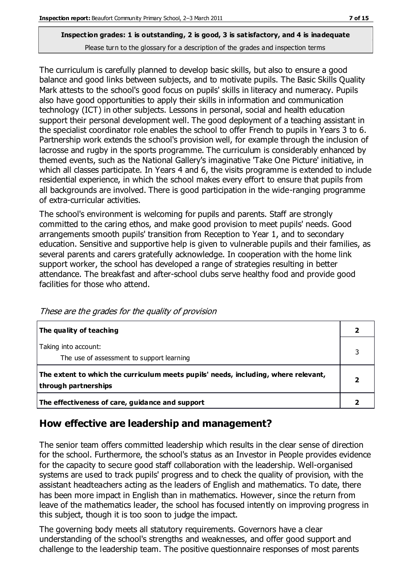The curriculum is carefully planned to develop basic skills, but also to ensure a good balance and good links between subjects, and to motivate pupils. The Basic Skills Quality Mark attests to the school's good focus on pupils' skills in literacy and numeracy. Pupils also have good opportunities to apply their skills in information and communication technology (ICT) in other subjects. Lessons in personal, social and health education support their personal development well. The good deployment of a teaching assistant in the specialist coordinator role enables the school to offer French to pupils in Years 3 to 6. Partnership work extends the school's provision well, for example through the inclusion of lacrosse and rugby in the sports programme. The curriculum is considerably enhanced by themed events, such as the National Gallery's imaginative 'Take One Picture' initiative, in which all classes participate. In Years 4 and 6, the visits programme is extended to include residential experience, in which the school makes every effort to ensure that pupils from all backgrounds are involved. There is good participation in the wide-ranging programme of extra-curricular activities.

The school's environment is welcoming for pupils and parents. Staff are strongly committed to the caring ethos, and make good provision to meet pupils' needs. Good arrangements smooth pupils' transition from Reception to Year 1, and to secondary education. Sensitive and supportive help is given to vulnerable pupils and their families, as several parents and carers gratefully acknowledge. In cooperation with the home link support worker, the school has developed a range of strategies resulting in better attendance. The breakfast and after-school clubs serve healthy food and provide good facilities for those who attend.

| The quality of teaching                                                                                    |  |
|------------------------------------------------------------------------------------------------------------|--|
| Taking into account:<br>The use of assessment to support learning                                          |  |
| The extent to which the curriculum meets pupils' needs, including, where relevant,<br>through partnerships |  |
| The effectiveness of care, guidance and support                                                            |  |

These are the grades for the quality of provision

### **How effective are leadership and management?**

The senior team offers committed leadership which results in the clear sense of direction for the school. Furthermore, the school's status as an Investor in People provides evidence for the capacity to secure good staff collaboration with the leadership. Well-organised systems are used to track pupils' progress and to check the quality of provision, with the assistant headteachers acting as the leaders of English and mathematics. To date, there has been more impact in English than in mathematics. However, since the return from leave of the mathematics leader, the school has focused intently on improving progress in this subject, though it is too soon to judge the impact.

The governing body meets all statutory requirements. Governors have a clear understanding of the school's strengths and weaknesses, and offer good support and challenge to the leadership team. The positive questionnaire responses of most parents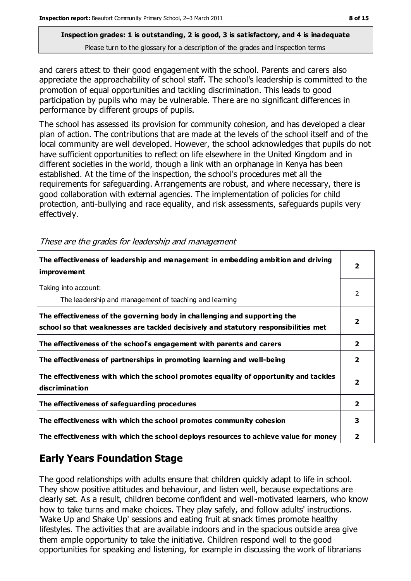and carers attest to their good engagement with the school. Parents and carers also appreciate the approachability of school staff. The school's leadership is committed to the promotion of equal opportunities and tackling discrimination. This leads to good participation by pupils who may be vulnerable. There are no significant differences in performance by different groups of pupils.

The school has assessed its provision for community cohesion, and has developed a clear plan of action. The contributions that are made at the levels of the school itself and of the local community are well developed. However, the school acknowledges that pupils do not have sufficient opportunities to reflect on life elsewhere in the United Kingdom and in different societies in the world, though a link with an orphanage in Kenya has been established. At the time of the inspection, the school's procedures met all the requirements for safeguarding. Arrangements are robust, and where necessary, there is good collaboration with external agencies. The implementation of policies for child protection, anti-bullying and race equality, and risk assessments, safeguards pupils very effectively.

| The effectiveness of leadership and management in embedding ambition and driving<br><b>improvement</b>                                                           | 2 |
|------------------------------------------------------------------------------------------------------------------------------------------------------------------|---|
| Taking into account:<br>The leadership and management of teaching and learning                                                                                   | 2 |
| The effectiveness of the governing body in challenging and supporting the<br>school so that weaknesses are tackled decisively and statutory responsibilities met |   |
| The effectiveness of the school's engagement with parents and carers                                                                                             | 2 |
| The effectiveness of partnerships in promoting learning and well-being                                                                                           | 2 |
| The effectiveness with which the school promotes equality of opportunity and tackles<br><b>discrimination</b>                                                    | 2 |
| The effectiveness of safeguarding procedures                                                                                                                     | 2 |
| The effectiveness with which the school promotes community cohesion                                                                                              | 3 |
| The effectiveness with which the school deploys resources to achieve value for money                                                                             | 2 |

These are the grades for leadership and management

### **Early Years Foundation Stage**

The good relationships with adults ensure that children quickly adapt to life in school. They show positive attitudes and behaviour, and listen well, because expectations are clearly set. As a result, children become confident and well-motivated learners, who know how to take turns and make choices. They play safely, and follow adults' instructions. 'Wake Up and Shake Up' sessions and eating fruit at snack times promote healthy lifestyles. The activities that are available indoors and in the spacious outside area give them ample opportunity to take the initiative. Children respond well to the good opportunities for speaking and listening, for example in discussing the work of librarians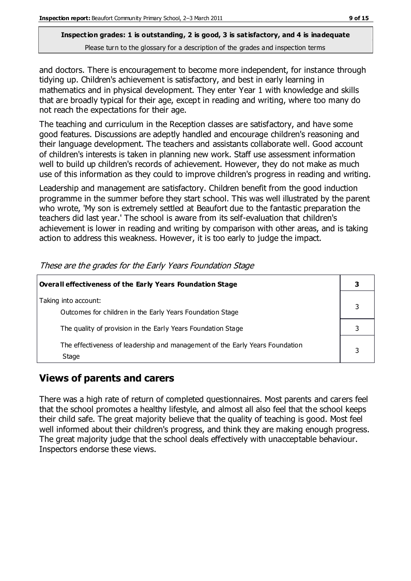and doctors. There is encouragement to become more independent, for instance through tidying up. Children's achievement is satisfactory, and best in early learning in mathematics and in physical development. They enter Year 1 with knowledge and skills that are broadly typical for their age, except in reading and writing, where too many do not reach the expectations for their age.

The teaching and curriculum in the Reception classes are satisfactory, and have some good features. Discussions are adeptly handled and encourage children's reasoning and their language development. The teachers and assistants collaborate well. Good account of children's interests is taken in planning new work. Staff use assessment information well to build up children's records of achievement. However, they do not make as much use of this information as they could to improve children's progress in reading and writing.

Leadership and management are satisfactory. Children benefit from the good induction programme in the summer before they start school. This was well illustrated by the parent who wrote, 'My son is extremely settled at Beaufort due to the fantastic preparation the teachers did last year.' The school is aware from its self-evaluation that children's achievement is lower in reading and writing by comparison with other areas, and is taking action to address this weakness. However, it is too early to judge the impact.

| Overall effectiveness of the Early Years Foundation Stage                             |  |  |
|---------------------------------------------------------------------------------------|--|--|
| Taking into account:<br>Outcomes for children in the Early Years Foundation Stage     |  |  |
| The quality of provision in the Early Years Foundation Stage                          |  |  |
| The effectiveness of leadership and management of the Early Years Foundation<br>Stage |  |  |

These are the grades for the Early Years Foundation Stage

### **Views of parents and carers**

There was a high rate of return of completed questionnaires. Most parents and carers feel that the school promotes a healthy lifestyle, and almost all also feel that the school keeps their child safe. The great majority believe that the quality of teaching is good. Most feel well informed about their children's progress, and think they are making enough progress. The great majority judge that the school deals effectively with unacceptable behaviour. Inspectors endorse these views.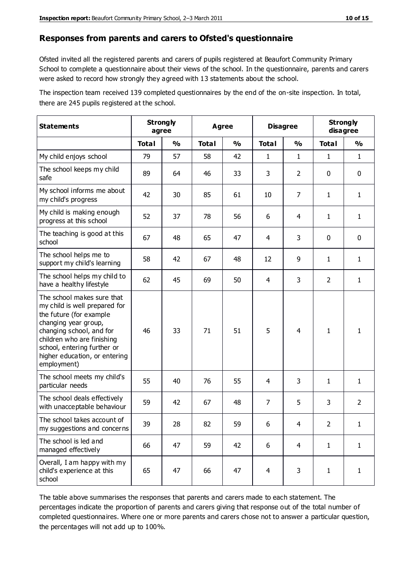#### **Responses from parents and carers to Ofsted's questionnaire**

Ofsted invited all the registered parents and carers of pupils registered at Beaufort Community Primary School to complete a questionnaire about their views of the school. In the questionnaire, parents and carers were asked to record how strongly they agreed with 13 statements about the school.

The inspection team received 139 completed questionnaires by the end of the on-site inspection. In total, there are 245 pupils registered at the school.

| <b>Statements</b>                                                                                                                                                                                                                                       |              | <b>Strongly</b><br>agree |              | <b>Disagree</b><br>Agree |                | <b>Strongly</b><br>disagree |                |                |
|---------------------------------------------------------------------------------------------------------------------------------------------------------------------------------------------------------------------------------------------------------|--------------|--------------------------|--------------|--------------------------|----------------|-----------------------------|----------------|----------------|
|                                                                                                                                                                                                                                                         | <b>Total</b> | $\frac{0}{0}$            | <b>Total</b> | $\frac{0}{0}$            | <b>Total</b>   | $\frac{0}{0}$               | <b>Total</b>   | $\frac{0}{0}$  |
| My child enjoys school                                                                                                                                                                                                                                  | 79           | 57                       | 58           | 42                       | 1              | $\mathbf{1}$                | 1              | $\mathbf{1}$   |
| The school keeps my child<br>safe                                                                                                                                                                                                                       | 89           | 64                       | 46           | 33                       | 3              | 2                           | $\mathbf 0$    | $\mathbf 0$    |
| My school informs me about<br>my child's progress                                                                                                                                                                                                       | 42           | 30                       | 85           | 61                       | 10             | 7                           | $\mathbf{1}$   | $\mathbf{1}$   |
| My child is making enough<br>progress at this school                                                                                                                                                                                                    | 52           | 37                       | 78           | 56                       | 6              | 4                           | 1              | $\mathbf{1}$   |
| The teaching is good at this<br>school                                                                                                                                                                                                                  | 67           | 48                       | 65           | 47                       | 4              | 3                           | $\mathbf 0$    | $\mathbf 0$    |
| The school helps me to<br>support my child's learning                                                                                                                                                                                                   | 58           | 42                       | 67           | 48                       | 12             | 9                           | 1              | $\mathbf{1}$   |
| The school helps my child to<br>have a healthy lifestyle                                                                                                                                                                                                | 62           | 45                       | 69           | 50                       | 4              | 3                           | 2              | $\mathbf{1}$   |
| The school makes sure that<br>my child is well prepared for<br>the future (for example<br>changing year group,<br>changing school, and for<br>children who are finishing<br>school, entering further or<br>higher education, or entering<br>employment) | 46           | 33                       | 71           | 51                       | 5              | 4                           | $\mathbf{1}$   | 1              |
| The school meets my child's<br>particular needs                                                                                                                                                                                                         | 55           | 40                       | 76           | 55                       | 4              | 3                           | 1              | $\mathbf{1}$   |
| The school deals effectively<br>with unacceptable behaviour                                                                                                                                                                                             | 59           | 42                       | 67           | 48                       | 7              | 5                           | 3              | $\overline{2}$ |
| The school takes account of<br>my suggestions and concerns                                                                                                                                                                                              | 39           | 28                       | 82           | 59                       | 6              | 4                           | $\overline{2}$ | 1              |
| The school is led and<br>managed effectively                                                                                                                                                                                                            | 66           | 47                       | 59           | 42                       | 6              | $\overline{4}$              | $\mathbf{1}$   | $\mathbf{1}$   |
| Overall, I am happy with my<br>child's experience at this<br>school                                                                                                                                                                                     | 65           | 47                       | 66           | 47                       | $\overline{4}$ | 3                           | $\mathbf{1}$   | $\mathbf{1}$   |

The table above summarises the responses that parents and carers made to each statement. The percentages indicate the proportion of parents and carers giving that response out of the total number of completed questionnaires. Where one or more parents and carers chose not to answer a particular question, the percentages will not add up to 100%.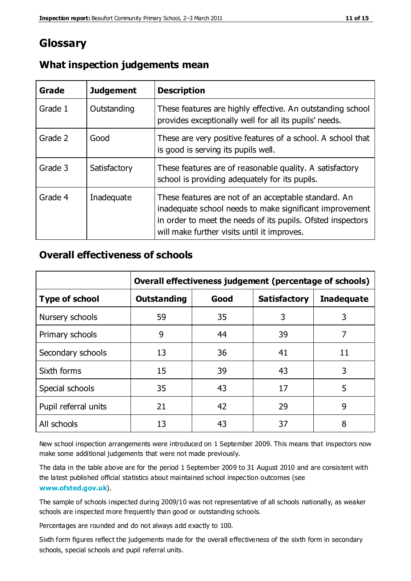### **Glossary**

| Grade   | <b>Judgement</b> | <b>Description</b>                                                                                                                                                                                                            |
|---------|------------------|-------------------------------------------------------------------------------------------------------------------------------------------------------------------------------------------------------------------------------|
| Grade 1 | Outstanding      | These features are highly effective. An outstanding school<br>provides exceptionally well for all its pupils' needs.                                                                                                          |
| Grade 2 | Good             | These are very positive features of a school. A school that<br>is good is serving its pupils well.                                                                                                                            |
| Grade 3 | Satisfactory     | These features are of reasonable quality. A satisfactory<br>school is providing adequately for its pupils.                                                                                                                    |
| Grade 4 | Inadequate       | These features are not of an acceptable standard. An<br>inadequate school needs to make significant improvement<br>in order to meet the needs of its pupils. Ofsted inspectors<br>will make further visits until it improves. |

### **What inspection judgements mean**

### **Overall effectiveness of schools**

|                       | Overall effectiveness judgement (percentage of schools) |      |                     |                   |
|-----------------------|---------------------------------------------------------|------|---------------------|-------------------|
| <b>Type of school</b> | <b>Outstanding</b>                                      | Good | <b>Satisfactory</b> | <b>Inadequate</b> |
| Nursery schools       | 59                                                      | 35   | 3                   | 3                 |
| Primary schools       | 9                                                       | 44   | 39                  | 7                 |
| Secondary schools     | 13                                                      | 36   | 41                  | 11                |
| Sixth forms           | 15                                                      | 39   | 43                  | 3                 |
| Special schools       | 35                                                      | 43   | 17                  | 5                 |
| Pupil referral units  | 21                                                      | 42   | 29                  | 9                 |
| All schools           | 13                                                      | 43   | 37                  | 8                 |

New school inspection arrangements were introduced on 1 September 2009. This means that inspectors now make some additional judgements that were not made previously.

The data in the table above are for the period 1 September 2009 to 31 August 2010 and are consistent with the latest published official statistics about maintained school inspec tion outcomes (see **[www.ofsted.gov.uk](http://www.ofsted.gov.uk/)**).

The sample of schools inspected during 2009/10 was not representative of all schools nationally, as weaker schools are inspected more frequently than good or outstanding schools.

Percentages are rounded and do not always add exactly to 100.

Sixth form figures reflect the judgements made for the overall effectiveness of the sixth form in secondary schools, special schools and pupil referral units.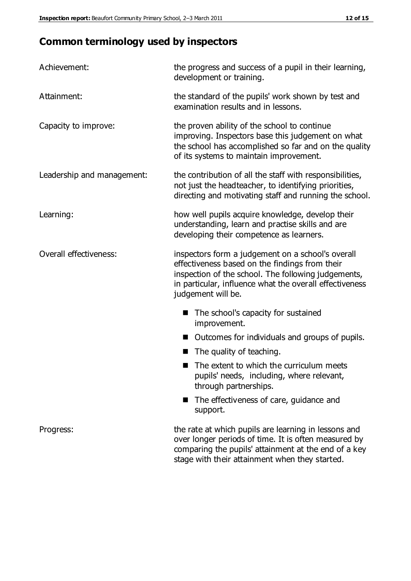### **Common terminology used by inspectors**

| Achievement:               | the progress and success of a pupil in their learning,<br>development or training.                                                                                                                                                          |  |  |
|----------------------------|---------------------------------------------------------------------------------------------------------------------------------------------------------------------------------------------------------------------------------------------|--|--|
| Attainment:                | the standard of the pupils' work shown by test and<br>examination results and in lessons.                                                                                                                                                   |  |  |
| Capacity to improve:       | the proven ability of the school to continue<br>improving. Inspectors base this judgement on what<br>the school has accomplished so far and on the quality<br>of its systems to maintain improvement.                                       |  |  |
| Leadership and management: | the contribution of all the staff with responsibilities,<br>not just the headteacher, to identifying priorities,<br>directing and motivating staff and running the school.                                                                  |  |  |
| Learning:                  | how well pupils acquire knowledge, develop their<br>understanding, learn and practise skills and are<br>developing their competence as learners.                                                                                            |  |  |
| Overall effectiveness:     | inspectors form a judgement on a school's overall<br>effectiveness based on the findings from their<br>inspection of the school. The following judgements,<br>in particular, influence what the overall effectiveness<br>judgement will be. |  |  |
|                            | The school's capacity for sustained<br>improvement.                                                                                                                                                                                         |  |  |
|                            | Outcomes for individuals and groups of pupils.                                                                                                                                                                                              |  |  |
|                            | The quality of teaching.                                                                                                                                                                                                                    |  |  |
|                            | The extent to which the curriculum meets<br>pupils' needs, including, where relevant,<br>through partnerships.                                                                                                                              |  |  |
|                            | The effectiveness of care, guidance and<br>support.                                                                                                                                                                                         |  |  |
| Progress:                  | the rate at which pupils are learning in lessons and<br>over longer periods of time. It is often measured by<br>comparing the pupils' attainment at the end of a key                                                                        |  |  |

stage with their attainment when they started.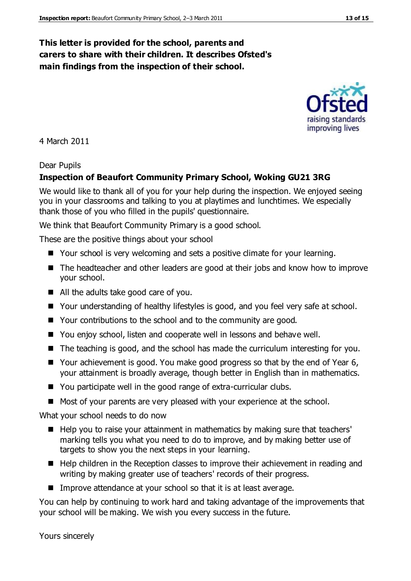### **This letter is provided for the school, parents and carers to share with their children. It describes Ofsted's main findings from the inspection of their school.**

4 March 2011

#### Dear Pupils

#### **Inspection of Beaufort Community Primary School, Woking GU21 3RG**

We would like to thank all of you for your help during the inspection. We enjoyed seeing you in your classrooms and talking to you at playtimes and lunchtimes. We especially thank those of you who filled in the pupils' questionnaire.

We think that Beaufort Community Primary is a good school.

These are the positive things about your school

- Your school is very welcoming and sets a positive climate for your learning.
- The headteacher and other leaders are good at their jobs and know how to improve your school.
- All the adults take good care of you.
- Your understanding of healthy lifestyles is good, and you feel very safe at school.
- Your contributions to the school and to the community are good.
- You enjoy school, listen and cooperate well in lessons and behave well.
- The teaching is good, and the school has made the curriculum interesting for you.
- Your achievement is good. You make good progress so that by the end of Year 6, your attainment is broadly average, though better in English than in mathematics.
- You participate well in the good range of extra-curricular clubs.
- Most of your parents are very pleased with your experience at the school.

What your school needs to do now

- Help you to raise your attainment in mathematics by making sure that teachers' marking tells you what you need to do to improve, and by making better use of targets to show you the next steps in your learning.
- Help children in the Reception classes to improve their achievement in reading and writing by making greater use of teachers' records of their progress.
- Improve attendance at your school so that it is at least average.

You can help by continuing to work hard and taking advantage of the improvements that your school will be making. We wish you every success in the future.

Yours sincerely

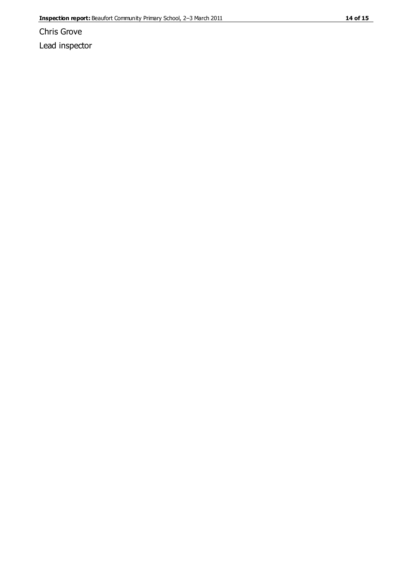Chris Grove Lead inspector